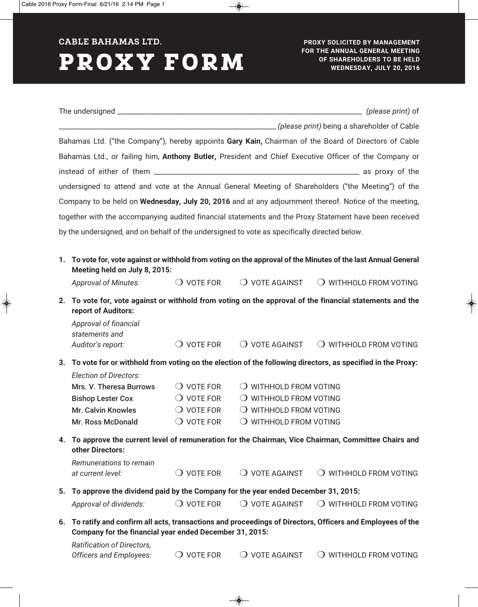**CABLE BAHAMAS LTD.**

## **PROXY FORM**

| example a shareholder of Cable (please print) being a shareholder of Cable                             |                                                                                                                                                                     |                     |                         |                                 |  |
|--------------------------------------------------------------------------------------------------------|---------------------------------------------------------------------------------------------------------------------------------------------------------------------|---------------------|-------------------------|---------------------------------|--|
| Bahamas Ltd. ("the Company"), hereby appoints Gary Kain, Chairman of the Board of Directors of Cable   |                                                                                                                                                                     |                     |                         |                                 |  |
| Bahamas Ltd., or failing him, Anthony Butler, President and Chief Executive Officer of the Company or  |                                                                                                                                                                     |                     |                         |                                 |  |
|                                                                                                        |                                                                                                                                                                     |                     |                         |                                 |  |
| undersigned to attend and vote at the Annual General Meeting of Shareholders ("the Meeting") of the    |                                                                                                                                                                     |                     |                         |                                 |  |
| Company to be held on Wednesday, July 20, 2016 and at any adjournment thereof. Notice of the meeting,  |                                                                                                                                                                     |                     |                         |                                 |  |
| together with the accompanying audited financial statements and the Proxy Statement have been received |                                                                                                                                                                     |                     |                         |                                 |  |
|                                                                                                        |                                                                                                                                                                     |                     |                         |                                 |  |
| by the undersigned, and on behalf of the undersigned to vote as specifically directed below.           |                                                                                                                                                                     |                     |                         |                                 |  |
|                                                                                                        |                                                                                                                                                                     |                     |                         |                                 |  |
|                                                                                                        | 1. To vote for, vote against or withhold from voting on the approval of the Minutes of the last Annual General<br>Meeting held on July 8, 2015:                     |                     |                         |                                 |  |
|                                                                                                        | <b>Approval of Minutes:</b>                                                                                                                                         | $\bigcirc$ vote for | $\bigcirc$ vote against | $\bigcirc$ WITHHOLD FROM VOTING |  |
| 2.                                                                                                     | To vote for, vote against or withhold from voting on the approval of the financial statements and the<br>report of Auditors:                                        |                     |                         |                                 |  |
|                                                                                                        | Approval of financial<br>statements and                                                                                                                             |                     |                         |                                 |  |
|                                                                                                        | Auditor's report:                                                                                                                                                   | $\bigcirc$ vote for | $\bigcirc$ vote against | $\bigcirc$ WITHHOLD FROM VOTING |  |
| 3.                                                                                                     | To vote for or withhold from voting on the election of the following directors, as specified in the Proxy:                                                          |                     |                         |                                 |  |
|                                                                                                        | <b>Election of Directors:</b>                                                                                                                                       |                     |                         |                                 |  |
|                                                                                                        | Mrs. V. Theresa Burrows                                                                                                                                             | $\bigcirc$ vote for |                         | $\bigcirc$ WITHHOLD FROM VOTING |  |
|                                                                                                        | <b>Bishop Lester Cox</b>                                                                                                                                            | $\bigcirc$ vote for |                         | $\bigcirc$ WITHHOLD FROM VOTING |  |
|                                                                                                        | <b>Mr. Calvin Knowles</b>                                                                                                                                           | $\bigcirc$ vote for | O WITHHOLD FROM VOTING  |                                 |  |
|                                                                                                        | <b>Mr. Ross McDonald</b>                                                                                                                                            | $\bigcirc$ vote for | O WITHHOLD FROM VOTING  |                                 |  |
|                                                                                                        | 4. To approve the current level of remuneration for the Chairman, Vice Chairman, Committee Chairs and<br>other Directors:                                           |                     |                         |                                 |  |
|                                                                                                        | Remunerations to remain                                                                                                                                             |                     |                         |                                 |  |
|                                                                                                        | at current level:                                                                                                                                                   | $\bigcirc$ vote for | $\bigcirc$ vote against | $\bigcirc$ WITHHOLD FROM VOTING |  |
| 5.                                                                                                     | To approve the dividend paid by the Company for the year ended December 31, 2015:                                                                                   |                     |                         |                                 |  |
|                                                                                                        | Approval of dividends:                                                                                                                                              | $\bigcirc$ vote for | $\bigcirc$ vote against | $\bigcirc$ withhold from voting |  |
| 6.                                                                                                     | To ratify and confirm all acts, transactions and proceedings of Directors, Officers and Employees of the<br>Company for the financial year ended December 31, 2015: |                     |                         |                                 |  |
|                                                                                                        | Ratification of Directors,<br>Officers and Employees:                                                                                                               | $\bigcirc$ vote for | $\bigcirc$ vote against | $\bigcirc$ WITHHOLD FROM VOTING |  |